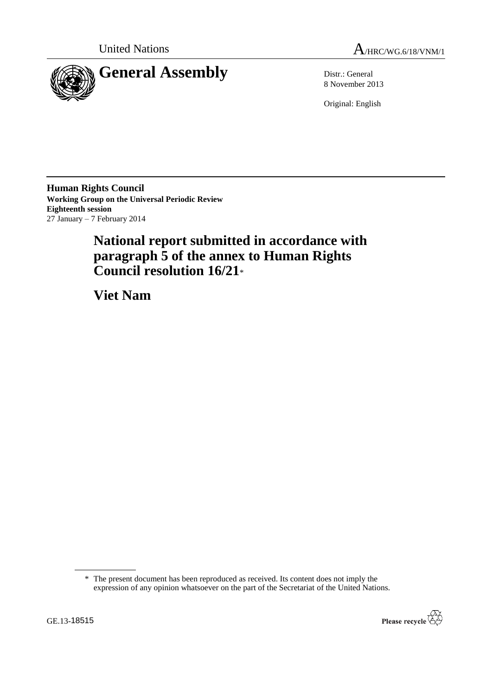



8 November 2013

Original: English

**Human Rights Council Working Group on the Universal Periodic Review Eighteenth session** 27 January – 7 February 2014

# **National report submitted in accordance with paragraph 5 of the annex to Human Rights Council resolution 16/21**\*

**Viet Nam**

<sup>\*</sup> The present document has been reproduced as received. Its content does not imply the expression of any opinion whatsoever on the part of the Secretariat of the United Nations.

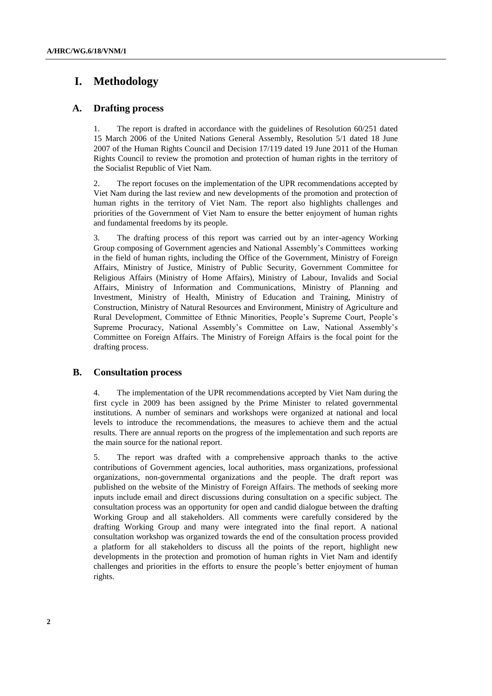## **I. Methodology**

## **A. Drafting process**

1. The report is drafted in accordance with the guidelines of Resolution 60/251 dated 15 March 2006 of the United Nations General Assembly, Resolution 5/1 dated 18 June 2007 of the Human Rights Council and Decision 17/119 dated 19 June 2011 of the Human Rights Council to review the promotion and protection of human rights in the territory of the Socialist Republic of Viet Nam.

2. The report focuses on the implementation of the UPR recommendations accepted by Viet Nam during the last review and new developments of the promotion and protection of human rights in the territory of Viet Nam. The report also highlights challenges and priorities of the Government of Viet Nam to ensure the better enjoyment of human rights and fundamental freedoms by its people.

3. The drafting process of this report was carried out by an inter-agency Working Group composing of Government agencies and National Assembly's Committees working in the field of human rights, including the Office of the Government, Ministry of Foreign Affairs, Ministry of Justice, Ministry of Public Security, Government Committee for Religious Affairs (Ministry of Home Affairs), Ministry of Labour, Invalids and Social Affairs, Ministry of Information and Communications, Ministry of Planning and Investment, Ministry of Health, Ministry of Education and Training, Ministry of Construction, Ministry of Natural Resources and Environment, Ministry of Agriculture and Rural Development, Committee of Ethnic Minorities, People's Supreme Court, People's Supreme Procuracy, National Assembly's Committee on Law, National Assembly's Committee on Foreign Affairs. The Ministry of Foreign Affairs is the focal point for the drafting process.

## **B. Consultation process**

4. The implementation of the UPR recommendations accepted by Viet Nam during the first cycle in 2009 has been assigned by the Prime Minister to related governmental institutions. A number of seminars and workshops were organized at national and local levels to introduce the recommendations, the measures to achieve them and the actual results. There are annual reports on the progress of the implementation and such reports are the main source for the national report.

5. The report was drafted with a comprehensive approach thanks to the active contributions of Government agencies, local authorities, mass organizations, professional organizations, non-governmental organizations and the people. The draft report was published on the website of the Ministry of Foreign Affairs. The methods of seeking more inputs include email and direct discussions during consultation on a specific subject. The consultation process was an opportunity for open and candid dialogue between the drafting Working Group and all stakeholders. All comments were carefully considered by the drafting Working Group and many were integrated into the final report. A national consultation workshop was organized towards the end of the consultation process provided a platform for all stakeholders to discuss all the points of the report, highlight new developments in the protection and promotion of human rights in Viet Nam and identify challenges and priorities in the efforts to ensure the people's better enjoyment of human rights.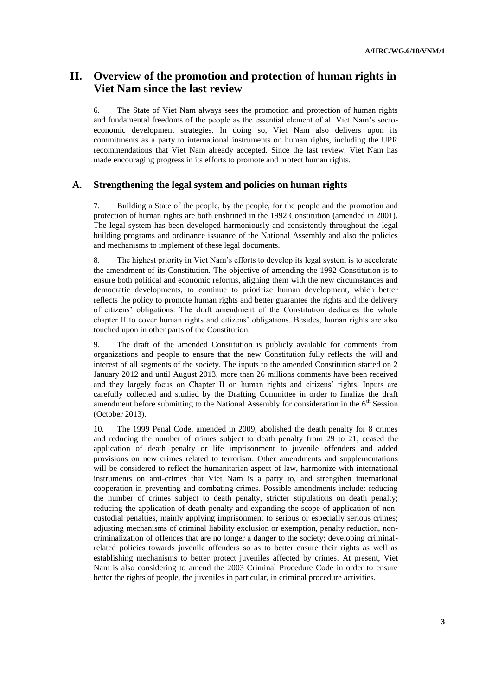## **II. Overview of the promotion and protection of human rights in Viet Nam since the last review**

6. The State of Viet Nam always sees the promotion and protection of human rights and fundamental freedoms of the people as the essential element of all Viet Nam's socioeconomic development strategies. In doing so, Viet Nam also delivers upon its commitments as a party to international instruments on human rights, including the UPR recommendations that Viet Nam already accepted. Since the last review, Viet Nam has made encouraging progress in its efforts to promote and protect human rights.

### **A. Strengthening the legal system and policies on human rights**

7. Building a State of the people, by the people, for the people and the promotion and protection of human rights are both enshrined in the 1992 Constitution (amended in 2001). The legal system has been developed harmoniously and consistently throughout the legal building programs and ordinance issuance of the National Assembly and also the policies and mechanisms to implement of these legal documents.

8. The highest priority in Viet Nam's efforts to develop its legal system is to accelerate the amendment of its Constitution. The objective of amending the 1992 Constitution is to ensure both political and economic reforms, aligning them with the new circumstances and democratic developments, to continue to prioritize human development, which better reflects the policy to promote human rights and better guarantee the rights and the delivery of citizens' obligations. The draft amendment of the Constitution dedicates the whole chapter II to cover human rights and citizens' obligations. Besides, human rights are also touched upon in other parts of the Constitution.

9. The draft of the amended Constitution is publicly available for comments from organizations and people to ensure that the new Constitution fully reflects the will and interest of all segments of the society. The inputs to the amended Constitution started on 2 January 2012 and until August 2013, more than 26 millions comments have been received and they largely focus on Chapter II on human rights and citizens' rights. Inputs are carefully collected and studied by the Drafting Committee in order to finalize the draft amendment before submitting to the National Assembly for consideration in the  $6<sup>th</sup>$  Session (October 2013).

10. The 1999 Penal Code, amended in 2009, abolished the death penalty for 8 crimes and reducing the number of crimes subject to death penalty from 29 to 21, ceased the application of death penalty or life imprisonment to juvenile offenders and added provisions on new crimes related to terrorism. Other amendments and supplementations will be considered to reflect the humanitarian aspect of law, harmonize with international instruments on anti-crimes that Viet Nam is a party to, and strengthen international cooperation in preventing and combating crimes. Possible amendments include: reducing the number of crimes subject to death penalty, stricter stipulations on death penalty; reducing the application of death penalty and expanding the scope of application of noncustodial penalties, mainly applying imprisonment to serious or especially serious crimes; adjusting mechanisms of criminal liability exclusion or exemption, penalty reduction, noncriminalization of offences that are no longer a danger to the society; developing criminalrelated policies towards juvenile offenders so as to better ensure their rights as well as establishing mechanisms to better protect juveniles affected by crimes. At present, Viet Nam is also considering to amend the 2003 Criminal Procedure Code in order to ensure better the rights of people, the juveniles in particular, in criminal procedure activities.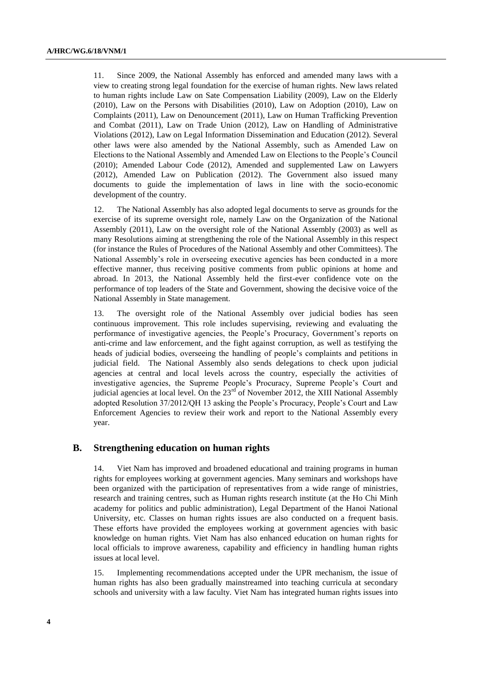11. Since 2009, the National Assembly has enforced and amended many laws with a view to creating strong legal foundation for the exercise of human rights. New laws related to human rights include Law on Sate Compensation Liability (2009), Law on the Elderly (2010), Law on the Persons with Disabilities (2010), Law on Adoption (2010), Law on Complaints (2011), Law on Denouncement (2011), Law on Human Trafficking Prevention and Combat (2011), Law on Trade Union (2012), Law on Handling of Administrative Violations (2012), Law on Legal Information Dissemination and Education (2012). Several other laws were also amended by the National Assembly, such as Amended Law on Elections to the National Assembly and Amended Law on Elections to the People's Council (2010); Amended Labour Code (2012), Amended and supplemented Law on Lawyers (2012), Amended Law on Publication (2012). The Government also issued many documents to guide the implementation of laws in line with the socio-economic development of the country.

12. The National Assembly has also adopted legal documents to serve as grounds for the exercise of its supreme oversight role, namely Law on the Organization of the National Assembly (2011), Law on the oversight role of the National Assembly (2003) as well as many Resolutions aiming at strengthening the role of the National Assembly in this respect (for instance the Rules of Procedures of the National Assembly and other Committees). The National Assembly's role in overseeing executive agencies has been conducted in a more effective manner, thus receiving positive comments from public opinions at home and abroad. In 2013, the National Assembly held the first-ever confidence vote on the performance of top leaders of the State and Government, showing the decisive voice of the National Assembly in State management.

13. The oversight role of the National Assembly over judicial bodies has seen continuous improvement. This role includes supervising, reviewing and evaluating the performance of investigative agencies, the People's Procuracy, Government's reports on anti-crime and law enforcement, and the fight against corruption, as well as testifying the heads of judicial bodies, overseeing the handling of people's complaints and petitions in judicial field. The National Assembly also sends delegations to check upon judicial agencies at central and local levels across the country, especially the activities of investigative agencies, the Supreme People's Procuracy, Supreme People's Court and judicial agencies at local level. On the  $23<sup>rd</sup>$  of November 2012, the XIII National Assembly adopted Resolution 37/2012/QH 13 asking the People's Procuracy, People's Court and Law Enforcement Agencies to review their work and report to the National Assembly every year.

## **B. Strengthening education on human rights**

14. Viet Nam has improved and broadened educational and training programs in human rights for employees working at government agencies. Many seminars and workshops have been organized with the participation of representatives from a wide range of ministries, research and training centres, such as Human rights research institute (at the Ho Chi Minh academy for politics and public administration), Legal Department of the Hanoi National University, etc. Classes on human rights issues are also conducted on a frequent basis. These efforts have provided the employees working at government agencies with basic knowledge on human rights. Viet Nam has also enhanced education on human rights for local officials to improve awareness, capability and efficiency in handling human rights issues at local level.

15. Implementing recommendations accepted under the UPR mechanism, the issue of human rights has also been gradually mainstreamed into teaching curricula at secondary schools and university with a law faculty. Viet Nam has integrated human rights issues into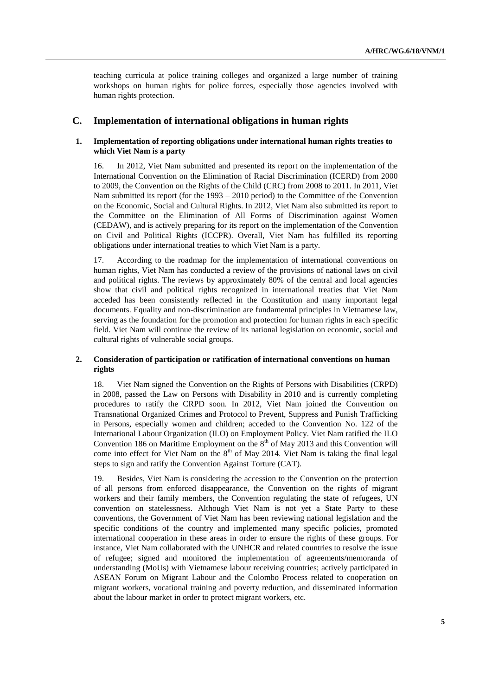teaching curricula at police training colleges and organized a large number of training workshops on human rights for police forces, especially those agencies involved with human rights protection.

### **C. Implementation of international obligations in human rights**

#### **1. Implementation of reporting obligations under international human rights treaties to which Viet Nam is a party**

16. In 2012, Viet Nam submitted and presented its report on the implementation of the International Convention on the Elimination of Racial Discrimination (ICERD) from 2000 to 2009, the Convention on the Rights of the Child (CRC) from 2008 to 2011. In 2011, Viet Nam submitted its report (for the 1993 – 2010 period) to the Committee of the Convention on the Economic, Social and Cultural Rights. In 2012, Viet Nam also submitted its report to the Committee on the Elimination of All Forms of Discrimination against Women (CEDAW), and is actively preparing for its report on the implementation of the Convention on Civil and Political Rights (ICCPR). Overall, Viet Nam has fulfilled its reporting obligations under international treaties to which Viet Nam is a party.

17. According to the roadmap for the implementation of international conventions on human rights, Viet Nam has conducted a review of the provisions of national laws on civil and political rights. The reviews by approximately 80% of the central and local agencies show that civil and political rights recognized in international treaties that Viet Nam acceded has been consistently reflected in the Constitution and many important legal documents. Equality and non-discrimination are fundamental principles in Vietnamese law, serving as the foundation for the promotion and protection for human rights in each specific field. Viet Nam will continue the review of its national legislation on economic, social and cultural rights of vulnerable social groups.

### **2. Consideration of participation or ratification of international conventions on human rights**

18. Viet Nam signed the Convention on the Rights of Persons with Disabilities (CRPD) in 2008, passed the Law on Persons with Disability in 2010 and is currently completing procedures to ratify the CRPD soon. In 2012, Viet Nam joined the Convention on Transnational Organized Crimes and Protocol to Prevent, Suppress and Punish Trafficking in Persons, especially women and children; acceded to the Convention No. 122 of the International Labour Organization (ILO) on Employment Policy. Viet Nam ratified the ILO Convention 186 on Maritime Employment on the  $8<sup>th</sup>$  of May 2013 and this Convention will come into effect for Viet Nam on the  $8<sup>th</sup>$  of May 2014. Viet Nam is taking the final legal steps to sign and ratify the Convention Against Torture (CAT).

19. Besides, Viet Nam is considering the accession to the Convention on the protection of all persons from enforced disappearance, the Convention on the rights of migrant workers and their family members, the Convention regulating the state of refugees, UN convention on statelessness. Although Viet Nam is not yet a State Party to these conventions, the Government of Viet Nam has been reviewing national legislation and the specific conditions of the country and implemented many specific policies, promoted international cooperation in these areas in order to ensure the rights of these groups. For instance, Viet Nam collaborated with the UNHCR and related countries to resolve the issue of refugee; signed and monitored the implementation of agreements/memoranda of understanding (MoUs) with Vietnamese labour receiving countries; actively participated in ASEAN Forum on Migrant Labour and the Colombo Process related to cooperation on migrant workers, vocational training and poverty reduction, and disseminated information about the labour market in order to protect migrant workers, etc.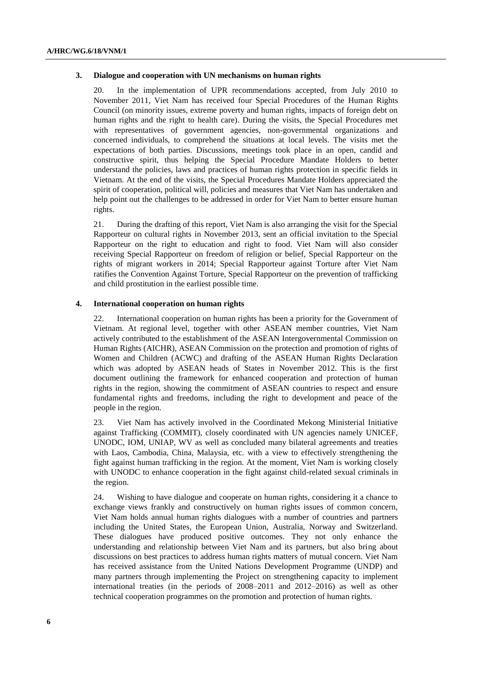#### **3. Dialogue and cooperation with UN mechanisms on human rights**

20. In the implementation of UPR recommendations accepted, from July 2010 to November 2011, Viet Nam has received four Special Procedures of the Human Rights Council (on minority issues, extreme poverty and human rights, impacts of foreign debt on human rights and the right to health care). During the visits, the Special Procedures met with representatives of government agencies, non-governmental organizations and concerned individuals, to comprehend the situations at local levels. The visits met the expectations of both parties. Discussions, meetings took place in an open, candid and constructive spirit, thus helping the Special Procedure Mandate Holders to better understand the policies, laws and practices of human rights protection in specific fields in Vietnam. At the end of the visits, the Special Procedures Mandate Holders appreciated the spirit of cooperation, political will, policies and measures that Viet Nam has undertaken and help point out the challenges to be addressed in order for Viet Nam to better ensure human rights.

21. During the drafting of this report, Viet Nam is also arranging the visit for the Special Rapporteur on cultural rights in November 2013, sent an official invitation to the Special Rapporteur on the right to education and right to food. Viet Nam will also consider receiving Special Rapporteur on freedom of religion or belief, Special Rapporteur on the rights of migrant workers in 2014; Special Rapporteur against Torture after Viet Nam ratifies the Convention Against Torture, Special Rapporteur on the prevention of trafficking and child prostitution in the earliest possible time.

#### **4. International cooperation on human rights**

22. International cooperation on human rights has been a priority for the Government of Vietnam. At regional level, together with other ASEAN member countries, Viet Nam actively contributed to the establishment of the ASEAN Intergovernmental Commission on Human Rights (AICHR), ASEAN Commission on the protection and promotion of rights of Women and Children (ACWC) and drafting of the ASEAN Human Rights Declaration which was adopted by ASEAN heads of States in November 2012. This is the first document outlining the framework for enhanced cooperation and protection of human rights in the region, showing the commitment of ASEAN countries to respect and ensure fundamental rights and freedoms, including the right to development and peace of the people in the region.

23. Viet Nam has actively involved in the Coordinated Mekong Ministerial Initiative against Trafficking (COMMIT), closely coordinated with UN agencies namely UNICEF, UNODC, IOM, UNIAP, WV as well as concluded many bilateral agreements and treaties with Laos, Cambodia, China, Malaysia, etc. with a view to effectively strengthening the fight against human trafficking in the region. At the moment, Viet Nam is working closely with UNODC to enhance cooperation in the fight against child-related sexual criminals in the region.

24. Wishing to have dialogue and cooperate on human rights, considering it a chance to exchange views frankly and constructively on human rights issues of common concern, Viet Nam holds annual human rights dialogues with a number of countries and partners including the United States, the European Union, Australia, Norway and Switzerland. These dialogues have produced positive outcomes. They not only enhance the understanding and relationship between Viet Nam and its partners, but also bring about discussions on best practices to address human rights matters of mutual concern. Viet Nam has received assistance from the United Nations Development Programme (UNDP) and many partners through implementing the Project on strengthening capacity to implement international treaties (in the periods of 2008–2011 and 2012–2016) as well as other technical cooperation programmes on the promotion and protection of human rights.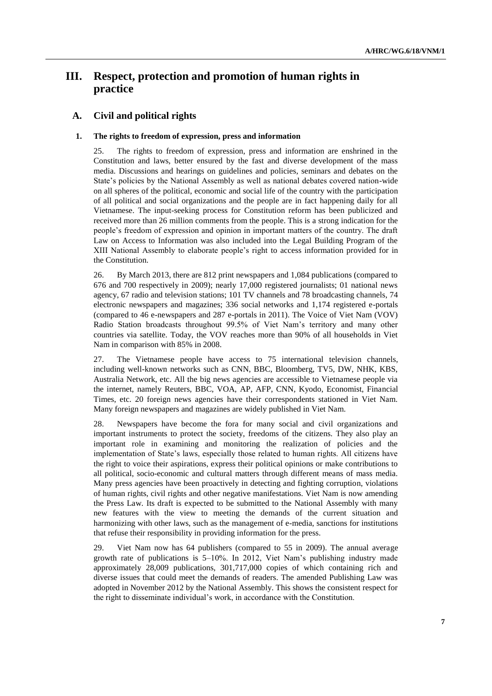## **III. Respect, protection and promotion of human rights in practice**

## **A. Civil and political rights**

#### **1. The rights to freedom of expression, press and information**

25. The rights to freedom of expression, press and information are enshrined in the Constitution and laws, better ensured by the fast and diverse development of the mass media. Discussions and hearings on guidelines and policies, seminars and debates on the State's policies by the National Assembly as well as national debates covered nation-wide on all spheres of the political, economic and social life of the country with the participation of all political and social organizations and the people are in fact happening daily for all Vietnamese. The input-seeking process for Constitution reform has been publicized and received more than 26 million comments from the people. This is a strong indication for the people's freedom of expression and opinion in important matters of the country. The draft Law on Access to Information was also included into the Legal Building Program of the XIII National Assembly to elaborate people's right to access information provided for in the Constitution.

26. By March 2013, there are 812 print newspapers and 1,084 publications (compared to 676 and 700 respectively in 2009); nearly 17,000 registered journalists; 01 national news agency, 67 radio and television stations; 101 TV channels and 78 broadcasting channels, 74 electronic newspapers and magazines; 336 social networks and 1,174 registered e-portals (compared to 46 e-newspapers and 287 e-portals in 2011). The Voice of Viet Nam (VOV) Radio Station broadcasts throughout 99.5% of Viet Nam's territory and many other countries via satellite. Today, the VOV reaches more than 90% of all households in Viet Nam in comparison with 85% in 2008.

27. The Vietnamese people have access to 75 international television channels, including well-known networks such as CNN, BBC, Bloomberg, TV5, DW, NHK, KBS, Australia Network, etc. All the big news agencies are accessible to Vietnamese people via the internet, namely Reuters, BBC, VOA, AP, AFP, CNN, Kyodo, Economist, Financial Times, etc. 20 foreign news agencies have their correspondents stationed in Viet Nam. Many foreign newspapers and magazines are widely published in Viet Nam.

28. Newspapers have become the fora for many social and civil organizations and important instruments to protect the society, freedoms of the citizens. They also play an important role in examining and monitoring the realization of policies and the implementation of State's laws, especially those related to human rights. All citizens have the right to voice their aspirations, express their political opinions or make contributions to all political, socio-economic and cultural matters through different means of mass media. Many press agencies have been proactively in detecting and fighting corruption, violations of human rights, civil rights and other negative manifestations. Viet Nam is now amending the Press Law. Its draft is expected to be submitted to the National Assembly with many new features with the view to meeting the demands of the current situation and harmonizing with other laws, such as the management of e-media, sanctions for institutions that refuse their responsibility in providing information for the press.

29. Viet Nam now has 64 publishers (compared to 55 in 2009). The annual average growth rate of publications is 5–10%. In 2012, Viet Nam's publishing industry made approximately 28,009 publications, 301,717,000 copies of which containing rich and diverse issues that could meet the demands of readers. The amended Publishing Law was adopted in November 2012 by the National Assembly. This shows the consistent respect for the right to disseminate individual's work, in accordance with the Constitution.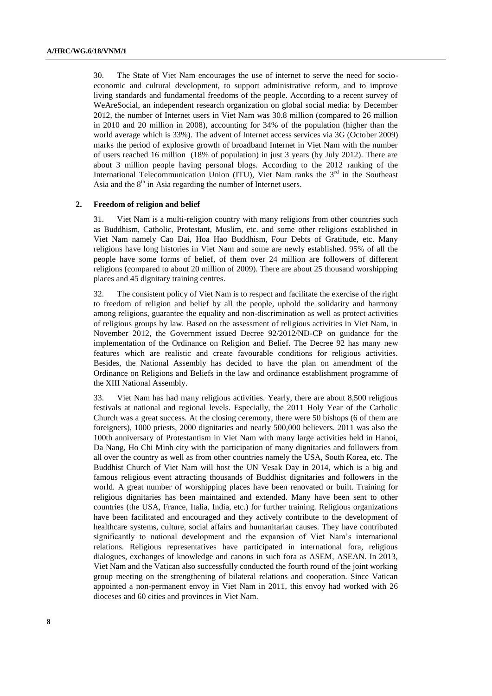30. The State of Viet Nam encourages the use of internet to serve the need for socioeconomic and cultural development, to support administrative reform, and to improve living standards and fundamental freedoms of the people. According to a recent survey of WeAreSocial, an independent research organization on global social media: by December 2012, the number of Internet users in Viet Nam was 30.8 million (compared to 26 million in 2010 and 20 million in 2008), accounting for 34% of the population (higher than the world average which is 33%). The advent of Internet access services via 3G (October 2009) marks the period of explosive growth of broadband Internet in Viet Nam with the number of users reached 16 million (18% of population) in just 3 years (by July 2012). There are about 3 million people having personal blogs. According to the 2012 ranking of the International Telecommunication Union (ITU), Viet Nam ranks the  $3<sup>rd</sup>$  in the Southeast Asia and the  $8<sup>th</sup>$  in Asia regarding the number of Internet users.

#### **2. Freedom of religion and belief**

31. Viet Nam is a multi-religion country with many religions from other countries such as Buddhism, Catholic, Protestant, Muslim, etc. and some other religions established in Viet Nam namely Cao Dai, Hoa Hao Buddhism, Four Debts of Gratitude, etc. Many religions have long histories in Viet Nam and some are newly established. 95% of all the people have some forms of belief, of them over 24 million are followers of different religions (compared to about 20 million of 2009). There are about 25 thousand worshipping places and 45 dignitary training centres.

32. The consistent policy of Viet Nam is to respect and facilitate the exercise of the right to freedom of religion and belief by all the people, uphold the solidarity and harmony among religions, guarantee the equality and non-discrimination as well as protect activities of religious groups by law. Based on the assessment of religious activities in Viet Nam, in November 2012, the Government issued Decree 92/2012/ND-CP on guidance for the implementation of the Ordinance on Religion and Belief. The Decree 92 has many new features which are realistic and create favourable conditions for religious activities. Besides, the National Assembly has decided to have the plan on amendment of the Ordinance on Religions and Beliefs in the law and ordinance establishment programme of the XIII National Assembly.

33. Viet Nam has had many religious activities. Yearly, there are about 8,500 religious festivals at national and regional levels. Especially, the 2011 Holy Year of the Catholic Church was a great success. At the closing ceremony, there were 50 bishops (6 of them are foreigners), 1000 priests, 2000 dignitaries and nearly 500,000 believers. 2011 was also the 100th anniversary of Protestantism in Viet Nam with many large activities held in Hanoi, Da Nang, Ho Chi Minh city with the participation of many dignitaries and followers from all over the country as well as from other countries namely the USA, South Korea, etc. The Buddhist Church of Viet Nam will host the UN Vesak Day in 2014, which is a big and famous religious event attracting thousands of Buddhist dignitaries and followers in the world. A great number of worshipping places have been renovated or built. Training for religious dignitaries has been maintained and extended. Many have been sent to other countries (the USA, France, Italia, India, etc.) for further training. Religious organizations have been facilitated and encouraged and they actively contribute to the development of healthcare systems, culture, social affairs and humanitarian causes. They have contributed significantly to national development and the expansion of Viet Nam's international relations. Religious representatives have participated in international fora, religious dialogues, exchanges of knowledge and canons in such fora as ASEM, ASEAN. In 2013, Viet Nam and the Vatican also successfully conducted the fourth round of the joint working group meeting on the strengthening of bilateral relations and cooperation. Since Vatican appointed a non-permanent envoy in Viet Nam in 2011, this envoy had worked with 26 dioceses and 60 cities and provinces in Viet Nam.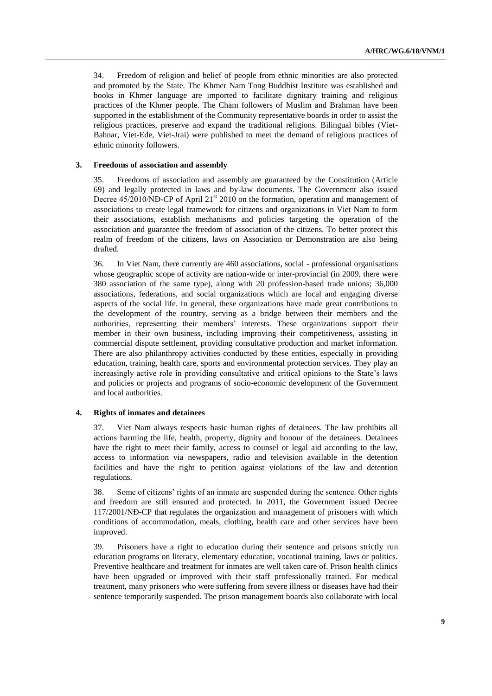34. Freedom of religion and belief of people from ethnic minorities are also protected and promoted by the State. The Khmer Nam Tong Buddhist Institute was established and books in Khmer language are imported to facilitate dignitary training and religious practices of the Khmer people. The Cham followers of Muslim and Brahman have been supported in the establishment of the Community representative boards in order to assist the religious practices, preserve and expand the traditional religions. Bilingual bibles (Viet-Bahnar, Viet-Ede, Viet-Jrai) were published to meet the demand of religious practices of ethnic minority followers.

#### **3. Freedoms of association and assembly**

35. Freedoms of association and assembly are guaranteed by the Constitution (Article 69) and legally protected in laws and by-law documents. The Government also issued Decree 45/2010/NĐ-CP of April 21<sup>st</sup> 2010 on the formation, operation and management of associations to create legal framework for citizens and organizations in Viet Nam to form their associations, establish mechanisms and policies targeting the operation of the association and guarantee the freedom of association of the citizens. To better protect this realm of freedom of the citizens, laws on Association or Demonstration are also being drafted.

36. In Viet Nam, there currently are 460 associations, social - professional organisations whose geographic scope of activity are nation-wide or inter-provincial (in 2009, there were 380 association of the same type), along with 20 profession-based trade unions; 36,000 associations, federations, and social organizations which are local and engaging diverse aspects of the social life. In general, these organizations have made great contributions to the development of the country, serving as a bridge between their members and the authorities, representing their members' interests. These organizations support their member in their own business, including improving their competitiveness, assisting in commercial dispute settlement, providing consultative production and market information. There are also philanthropy activities conducted by these entities, especially in providing education, training, health care, sports and environmental protection services. They play an increasingly active role in providing consultative and critical opinions to the State's laws and policies or projects and programs of socio-economic development of the Government and local authorities.

#### **4. Rights of inmates and detainees**

37. Viet Nam always respects basic human rights of detainees. The law prohibits all actions harming the life, health, property, dignity and honour of the detainees. Detainees have the right to meet their family, access to counsel or legal aid according to the law, access to information via newspapers, radio and television available in the detention facilities and have the right to petition against violations of the law and detention regulations.

38. Some of citizens' rights of an inmate are suspended during the sentence. Other rights and freedom are still ensured and protected. In 2011, the Government issued Decree 117/2001/NĐ-CP that regulates the organization and management of prisoners with which conditions of accommodation, meals, clothing, health care and other services have been improved.

39. Prisoners have a right to education during their sentence and prisons strictly run education programs on literacy, elementary education, vocational training, laws or politics. Preventive healthcare and treatment for inmates are well taken care of. Prison health clinics have been upgraded or improved with their staff professionally trained. For medical treatment, many prisoners who were suffering from severe illness or diseases have had their sentence temporarily suspended. The prison management boards also collaborate with local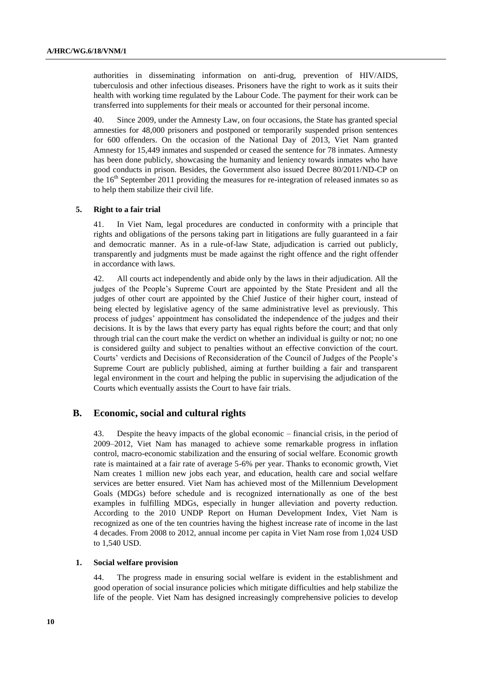authorities in disseminating information on anti-drug, prevention of HIV/AIDS, tuberculosis and other infectious diseases. Prisoners have the right to work as it suits their health with working time regulated by the Labour Code. The payment for their work can be transferred into supplements for their meals or accounted for their personal income.

40. Since 2009, under the Amnesty Law, on four occasions, the State has granted special amnesties for 48,000 prisoners and postponed or temporarily suspended prison sentences for 600 offenders. On the occasion of the National Day of 2013, Viet Nam granted Amnesty for 15,449 inmates and suspended or ceased the sentence for 78 inmates. Amnesty has been done publicly, showcasing the humanity and leniency towards inmates who have good conducts in prison. Besides, the Government also issued Decree 80/2011/ND-CP on the  $16<sup>th</sup>$  September 2011 providing the measures for re-integration of released inmates so as to help them stabilize their civil life.

#### **5. Right to a fair trial**

41. In Viet Nam, legal procedures are conducted in conformity with a principle that rights and obligations of the persons taking part in litigations are fully guaranteed in a fair and democratic manner. As in a rule-of-law State, adjudication is carried out publicly, transparently and judgments must be made against the right offence and the right offender in accordance with laws.

42. All courts act independently and abide only by the laws in their adjudication. All the judges of the People's Supreme Court are appointed by the State President and all the judges of other court are appointed by the Chief Justice of their higher court, instead of being elected by legislative agency of the same administrative level as previously. This process of judges' appointment has consolidated the independence of the judges and their decisions. It is by the laws that every party has equal rights before the court; and that only through trial can the court make the verdict on whether an individual is guilty or not; no one is considered guilty and subject to penalties without an effective conviction of the court. Courts' verdicts and Decisions of Reconsideration of the Council of Judges of the People's Supreme Court are publicly published, aiming at further building a fair and transparent legal environment in the court and helping the public in supervising the adjudication of the Courts which eventually assists the Court to have fair trials.

## **B. Economic, social and cultural rights**

43. Despite the heavy impacts of the global economic – financial crisis, in the period of 2009–2012, Viet Nam has managed to achieve some remarkable progress in inflation control, macro-economic stabilization and the ensuring of social welfare. Economic growth rate is maintained at a fair rate of average 5-6% per year. Thanks to economic growth, Viet Nam creates 1 million new jobs each year, and education, health care and social welfare services are better ensured. Viet Nam has achieved most of the Millennium Development Goals (MDGs) before schedule and is recognized internationally as one of the best examples in fulfilling MDGs, especially in hunger alleviation and poverty reduction. According to the 2010 UNDP Report on Human Development Index, Viet Nam is recognized as one of the ten countries having the highest increase rate of income in the last 4 decades. From 2008 to 2012, annual income per capita in Viet Nam rose from 1,024 USD to 1,540 USD.

#### **1. Social welfare provision**

44. The progress made in ensuring social welfare is evident in the establishment and good operation of social insurance policies which mitigate difficulties and help stabilize the life of the people. Viet Nam has designed increasingly comprehensive policies to develop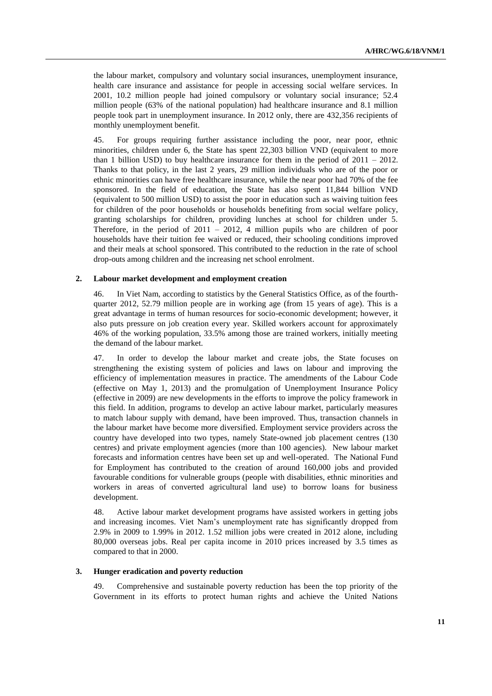the labour market, compulsory and voluntary social insurances, unemployment insurance, health care insurance and assistance for people in accessing social welfare services. In 2001, 10.2 million people had joined compulsory or voluntary social insurance; 52.4 million people (63% of the national population) had healthcare insurance and 8.1 million people took part in unemployment insurance. In 2012 only, there are 432,356 recipients of monthly unemployment benefit.

45. For groups requiring further assistance including the poor, near poor, ethnic minorities, children under 6, the State has spent 22,303 billion VND (equivalent to more than 1 billion USD) to buy healthcare insurance for them in the period of  $2011 - 2012$ . Thanks to that policy, in the last 2 years, 29 million individuals who are of the poor or ethnic minorities can have free healthcare insurance, while the near poor had 70% of the fee sponsored. In the field of education, the State has also spent 11,844 billion VND (equivalent to 500 million USD) to assist the poor in education such as waiving tuition fees for children of the poor households or households benefiting from social welfare policy, granting scholarships for children, providing lunches at school for children under 5. Therefore, in the period of  $2011 - 2012$ , 4 million pupils who are children of poor households have their tuition fee waived or reduced, their schooling conditions improved and their meals at school sponsored. This contributed to the reduction in the rate of school drop-outs among children and the increasing net school enrolment.

#### **2. Labour market development and employment creation**

46. In Viet Nam, according to statistics by the General Statistics Office, as of the fourthquarter 2012, 52.79 million people are in working age (from 15 years of age). This is a great advantage in terms of human resources for socio-economic development; however, it also puts pressure on job creation every year. Skilled workers account for approximately 46% of the working population, 33.5% among those are trained workers, initially meeting the demand of the labour market.

47. In order to develop the labour market and create jobs, the State focuses on strengthening the existing system of policies and laws on labour and improving the efficiency of implementation measures in practice. The amendments of the Labour Code (effective on May 1, 2013) and the promulgation of Unemployment Insurance Policy (effective in 2009) are new developments in the efforts to improve the policy framework in this field. In addition, programs to develop an active labour market, particularly measures to match labour supply with demand, have been improved. Thus, transaction channels in the labour market have become more diversified. Employment service providers across the country have developed into two types, namely State-owned job placement centres (130 centres) and private employment agencies (more than 100 agencies). New labour market forecasts and information centres have been set up and well-operated. The National Fund for Employment has contributed to the creation of around 160,000 jobs and provided favourable conditions for vulnerable groups (people with disabilities, ethnic minorities and workers in areas of converted agricultural land use) to borrow loans for business development.

48. Active labour market development programs have assisted workers in getting jobs and increasing incomes. Viet Nam's unemployment rate has significantly dropped from 2.9% in 2009 to 1.99% in 2012. 1.52 million jobs were created in 2012 alone, including 80,000 overseas jobs. Real per capita income in 2010 prices increased by 3.5 times as compared to that in 2000.

#### **3. Hunger eradication and poverty reduction**

49. Comprehensive and sustainable poverty reduction has been the top priority of the Government in its efforts to protect human rights and achieve the United Nations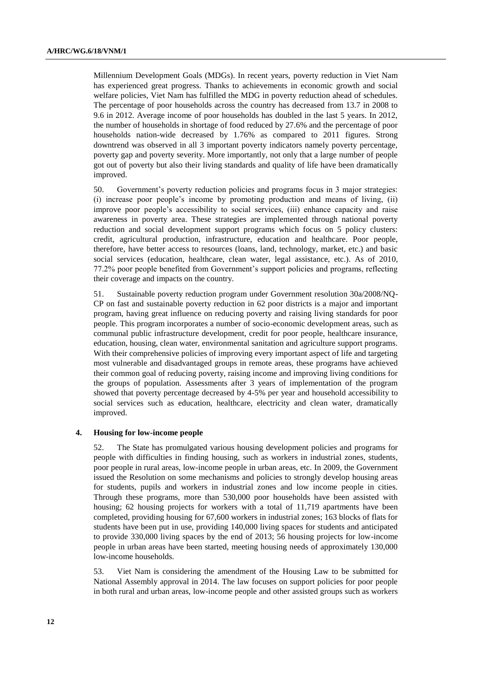Millennium Development Goals (MDGs). In recent years, poverty reduction in Viet Nam has experienced great progress. Thanks to achievements in economic growth and social welfare policies, Viet Nam has fulfilled the MDG in poverty reduction ahead of schedules. The percentage of poor households across the country has decreased from 13.7 in 2008 to 9.6 in 2012. Average income of poor households has doubled in the last 5 years. In 2012, the number of households in shortage of food reduced by 27.6% and the percentage of poor households nation-wide decreased by 1.76% as compared to 2011 figures. Strong downtrend was observed in all 3 important poverty indicators namely poverty percentage, poverty gap and poverty severity. More importantly, not only that a large number of people got out of poverty but also their living standards and quality of life have been dramatically improved.

50. Government's poverty reduction policies and programs focus in 3 major strategies: (i) increase poor people's income by promoting production and means of living, (ii) improve poor people's accessibility to social services, (iii) enhance capacity and raise awareness in poverty area. These strategies are implemented through national poverty reduction and social development support programs which focus on 5 policy clusters: credit, agricultural production, infrastructure, education and healthcare. Poor people, therefore, have better access to resources (loans, land, technology, market, etc.) and basic social services (education, healthcare, clean water, legal assistance, etc.). As of 2010, 77.2% poor people benefited from Government's support policies and programs, reflecting their coverage and impacts on the country.

51. Sustainable poverty reduction program under Government resolution 30a/2008/NQ-CP on fast and sustainable poverty reduction in 62 poor districts is a major and important program, having great influence on reducing poverty and raising living standards for poor people. This program incorporates a number of socio-economic development areas, such as communal public infrastructure development, credit for poor people, healthcare insurance, education, housing, clean water, environmental sanitation and agriculture support programs. With their comprehensive policies of improving every important aspect of life and targeting most vulnerable and disadvantaged groups in remote areas, these programs have achieved their common goal of reducing poverty, raising income and improving living conditions for the groups of population. Assessments after 3 years of implementation of the program showed that poverty percentage decreased by 4-5% per year and household accessibility to social services such as education, healthcare, electricity and clean water, dramatically improved.

#### **4. Housing for low-income people**

52. The State has promulgated various housing development policies and programs for people with difficulties in finding housing, such as workers in industrial zones, students, poor people in rural areas, low-income people in urban areas, etc. In 2009, the Government issued the Resolution on some mechanisms and policies to strongly develop housing areas for students, pupils and workers in industrial zones and low income people in cities. Through these programs, more than 530,000 poor households have been assisted with housing; 62 housing projects for workers with a total of 11,719 apartments have been completed, providing housing for 67,600 workers in industrial zones; 163 blocks of flats for students have been put in use, providing 140,000 living spaces for students and anticipated to provide 330,000 living spaces by the end of 2013; 56 housing projects for low-income people in urban areas have been started, meeting housing needs of approximately 130,000 low-income households.

53. Viet Nam is considering the amendment of the Housing Law to be submitted for National Assembly approval in 2014. The law focuses on support policies for poor people in both rural and urban areas, low-income people and other assisted groups such as workers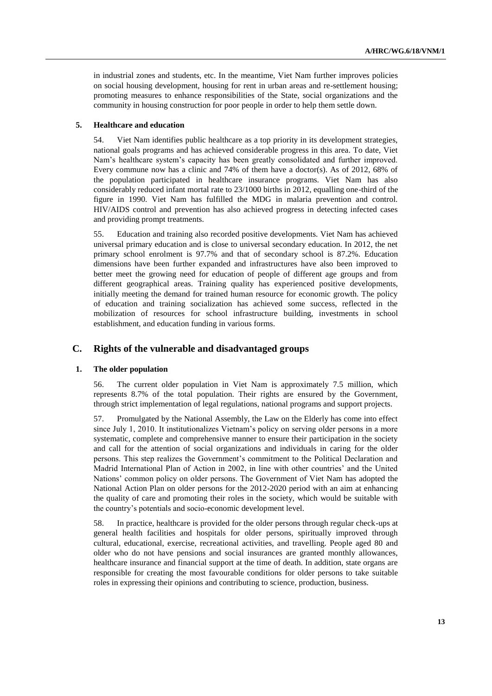in industrial zones and students, etc. In the meantime, Viet Nam further improves policies on social housing development, housing for rent in urban areas and re-settlement housing; promoting measures to enhance responsibilities of the State, social organizations and the community in housing construction for poor people in order to help them settle down.

#### **5. Healthcare and education**

54. Viet Nam identifies public healthcare as a top priority in its development strategies, national goals programs and has achieved considerable progress in this area. To date, Viet Nam's healthcare system's capacity has been greatly consolidated and further improved. Every commune now has a clinic and 74% of them have a doctor(s). As of 2012, 68% of the population participated in healthcare insurance programs. Viet Nam has also considerably reduced infant mortal rate to 23/1000 births in 2012, equalling one-third of the figure in 1990. Viet Nam has fulfilled the MDG in malaria prevention and control. HIV/AIDS control and prevention has also achieved progress in detecting infected cases and providing prompt treatments.

55. Education and training also recorded positive developments. Viet Nam has achieved universal primary education and is close to universal secondary education. In 2012, the net primary school enrolment is 97.7% and that of secondary school is 87.2%. Education dimensions have been further expanded and infrastructures have also been improved to better meet the growing need for education of people of different age groups and from different geographical areas. Training quality has experienced positive developments, initially meeting the demand for trained human resource for economic growth. The policy of education and training socialization has achieved some success, reflected in the mobilization of resources for school infrastructure building, investments in school establishment, and education funding in various forms.

## **C. Rights of the vulnerable and disadvantaged groups**

#### **1. The older population**

56. The current older population in Viet Nam is approximately 7.5 million, which represents 8.7% of the total population. Their rights are ensured by the Government, through strict implementation of legal regulations, national programs and support projects.

57. Promulgated by the National Assembly, the Law on the Elderly has come into effect since July 1, 2010. It institutionalizes Vietnam's policy on serving older persons in a more systematic, complete and comprehensive manner to ensure their participation in the society and call for the attention of social organizations and individuals in caring for the older persons. This step realizes the Government's commitment to the Political Declaration and Madrid International Plan of Action in 2002, in line with other countries' and the United Nations' common policy on older persons. The Government of Viet Nam has adopted the National Action Plan on older persons for the 2012-2020 period with an aim at enhancing the quality of care and promoting their roles in the society, which would be suitable with the country's potentials and socio-economic development level.

58. In practice, healthcare is provided for the older persons through regular check-ups at general health facilities and hospitals for older persons, spiritually improved through cultural, educational, exercise, recreational activities, and travelling. People aged 80 and older who do not have pensions and social insurances are granted monthly allowances, healthcare insurance and financial support at the time of death. In addition, state organs are responsible for creating the most favourable conditions for older persons to take suitable roles in expressing their opinions and contributing to science, production, business.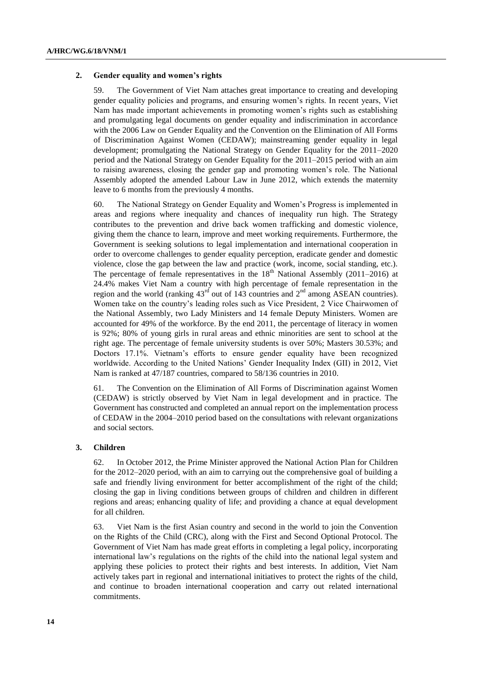#### **2. Gender equality and women's rights**

59. The Government of Viet Nam attaches great importance to creating and developing gender equality policies and programs, and ensuring women's rights. In recent years, Viet Nam has made important achievements in promoting women's rights such as establishing and promulgating legal documents on gender equality and indiscrimination in accordance with the 2006 Law on Gender Equality and the Convention on the Elimination of All Forms of Discrimination Against Women (CEDAW); mainstreaming gender equality in legal development; promulgating the National Strategy on Gender Equality for the 2011–2020 period and the National Strategy on Gender Equality for the 2011–2015 period with an aim to raising awareness, closing the gender gap and promoting women's role. The National Assembly adopted the amended Labour Law in June 2012, which extends the maternity leave to 6 months from the previously 4 months.

60. The National Strategy on Gender Equality and Women's Progress is implemented in areas and regions where inequality and chances of inequality run high. The Strategy contributes to the prevention and drive back women trafficking and domestic violence, giving them the chance to learn, improve and meet working requirements. Furthermore, the Government is seeking solutions to legal implementation and international cooperation in order to overcome challenges to gender equality perception, eradicate gender and domestic violence, close the gap between the law and practice (work, income, social standing, etc.). The percentage of female representatives in the  $18<sup>th</sup>$  National Assembly (2011–2016) at 24.4% makes Viet Nam a country with high percentage of female representation in the region and the world (ranking  $43<sup>rd</sup>$  out of 143 countries and  $2<sup>nd</sup>$  among ASEAN countries). Women take on the country's leading roles such as Vice President, 2 Vice Chairwomen of the National Assembly, two Lady Ministers and 14 female Deputy Ministers. Women are accounted for 49% of the workforce. By the end 2011, the percentage of literacy in women is 92%; 80% of young girls in rural areas and ethnic minorities are sent to school at the right age. The percentage of female university students is over 50%; Masters 30.53%; and Doctors 17.1%. Vietnam's efforts to ensure gender equality have been recognized worldwide. According to the United Nations' Gender Inequality Index (GII) in 2012, Viet Nam is ranked at 47/187 countries, compared to 58/136 countries in 2010.

61. The Convention on the Elimination of All Forms of Discrimination against Women (CEDAW) is strictly observed by Viet Nam in legal development and in practice. The Government has constructed and completed an annual report on the implementation process of CEDAW in the 2004–2010 period based on the consultations with relevant organizations and social sectors.

#### **3. Children**

62. In October 2012, the Prime Minister approved the National Action Plan for Children for the 2012–2020 period, with an aim to carrying out the comprehensive goal of building a safe and friendly living environment for better accomplishment of the right of the child; closing the gap in living conditions between groups of children and children in different regions and areas; enhancing quality of life; and providing a chance at equal development for all children.

63. Viet Nam is the first Asian country and second in the world to join the Convention on the Rights of the Child (CRC), along with the First and Second Optional Protocol. The Government of Viet Nam has made great efforts in completing a legal policy, incorporating international law's regulations on the rights of the child into the national legal system and applying these policies to protect their rights and best interests. In addition, Viet Nam actively takes part in regional and international initiatives to protect the rights of the child, and continue to broaden international cooperation and carry out related international commitments.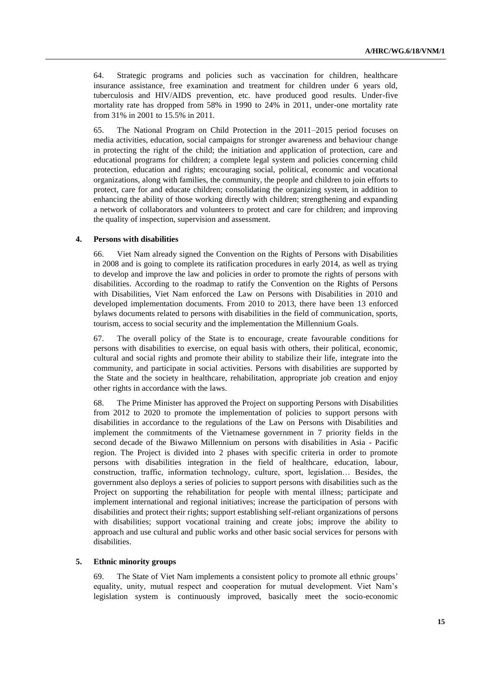64. Strategic programs and policies such as vaccination for children, healthcare insurance assistance, free examination and treatment for children under 6 years old, tuberculosis and HIV/AIDS prevention, etc. have produced good results. Under-five mortality rate has dropped from 58% in 1990 to 24% in 2011, under-one mortality rate from 31% in 2001 to 15.5% in 2011.

65. The National Program on Child Protection in the 2011–2015 period focuses on media activities, education, social campaigns for stronger awareness and behaviour change in protecting the right of the child; the initiation and application of protection, care and educational programs for children; a complete legal system and policies concerning child protection, education and rights; encouraging social, political, economic and vocational organizations, along with families, the community, the people and children to join efforts to protect, care for and educate children; consolidating the organizing system, in addition to enhancing the ability of those working directly with children; strengthening and expanding a network of collaborators and volunteers to protect and care for children; and improving the quality of inspection, supervision and assessment.

#### **4. Persons with disabilities**

66. Viet Nam already signed the Convention on the Rights of Persons with Disabilities in 2008 and is going to complete its ratification procedures in early 2014, as well as trying to develop and improve the law and policies in order to promote the rights of persons with disabilities. According to the roadmap to ratify the Convention on the Rights of Persons with Disabilities, Viet Nam enforced the Law on Persons with Disabilities in 2010 and developed implementation documents. From 2010 to 2013, there have been 13 enforced bylaws documents related to persons with disabilities in the field of communication, sports, tourism, access to social security and the implementation the Millennium Goals.

67. The overall policy of the State is to encourage, create favourable conditions for persons with disabilities to exercise, on equal basis with others, their political, economic, cultural and social rights and promote their ability to stabilize their life, integrate into the community, and participate in social activities. Persons with disabilities are supported by the State and the society in healthcare, rehabilitation, appropriate job creation and enjoy other rights in accordance with the laws.

68. The Prime Minister has approved the Project on supporting Persons with Disabilities from 2012 to 2020 to promote the implementation of policies to support persons with disabilities in accordance to the regulations of the Law on Persons with Disabilities and implement the commitments of the Vietnamese government in 7 priority fields in the second decade of the Biwawo Millennium on persons with disabilities in Asia - Pacific region. The Project is divided into 2 phases with specific criteria in order to promote persons with disabilities integration in the field of healthcare, education, labour, construction, traffic, information technology, culture, sport, legislation… Besides, the government also deploys a series of policies to support persons with disabilities such as the Project on supporting the rehabilitation for people with mental illness; participate and implement international and regional initiatives; increase the participation of persons with disabilities and protect their rights; support establishing self-reliant organizations of persons with disabilities; support vocational training and create jobs; improve the ability to approach and use cultural and public works and other basic social services for persons with disabilities.

#### **5. Ethnic minority groups**

69. The State of Viet Nam implements a consistent policy to promote all ethnic groups' equality, unity, mutual respect and cooperation for mutual development. Viet Nam's legislation system is continuously improved, basically meet the socio-economic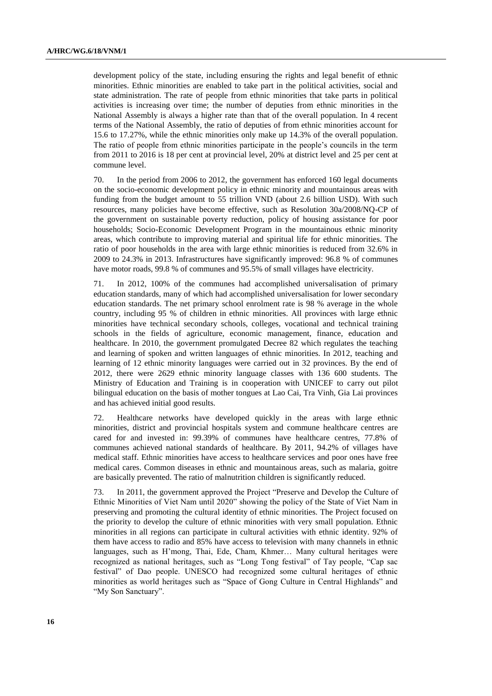development policy of the state, including ensuring the rights and legal benefit of ethnic minorities. Ethnic minorities are enabled to take part in the political activities, social and state administration. The rate of people from ethnic minorities that take parts in political activities is increasing over time; the number of deputies from ethnic minorities in the National Assembly is always a higher rate than that of the overall population. In 4 recent terms of the National Assembly, the ratio of deputies of from ethnic minorities account for 15.6 to 17.27%, while the ethnic minorities only make up 14.3% of the overall population. The ratio of people from ethnic minorities participate in the people's councils in the term from 2011 to 2016 is 18 per cent at provincial level, 20% at district level and 25 per cent at commune level.

70. In the period from 2006 to 2012, the government has enforced 160 legal documents on the socio-economic development policy in ethnic minority and mountainous areas with funding from the budget amount to 55 trillion VND (about 2.6 billion USD). With such resources, many policies have become effective, such as Resolution 30a/2008/NQ-CP of the government on sustainable poverty reduction, policy of housing assistance for poor households; Socio-Economic Development Program in the mountainous ethnic minority areas, which contribute to improving material and spiritual life for ethnic minorities. The ratio of poor households in the area with large ethnic minorities is reduced from 32.6% in 2009 to 24.3% in 2013. Infrastructures have significantly improved: 96.8 % of communes have motor roads, 99.8 % of communes and 95.5% of small villages have electricity.

71. In 2012, 100% of the communes had accomplished universalisation of primary education standards, many of which had accomplished universalisation for lower secondary education standards. The net primary school enrolment rate is 98 % average in the whole country, including 95 % of children in ethnic minorities. All provinces with large ethnic minorities have technical secondary schools, colleges, vocational and technical training schools in the fields of agriculture, economic management, finance, education and healthcare. In 2010, the government promulgated Decree 82 which regulates the teaching and learning of spoken and written languages of ethnic minorities. In 2012, teaching and learning of 12 ethnic minority languages were carried out in 32 provinces. By the end of 2012, there were 2629 ethnic minority language classes with 136 600 students. The Ministry of Education and Training is in cooperation with UNICEF to carry out pilot bilingual education on the basis of mother tongues at Lao Cai, Tra Vinh, Gia Lai provinces and has achieved initial good results.

72. Healthcare networks have developed quickly in the areas with large ethnic minorities, district and provincial hospitals system and commune healthcare centres are cared for and invested in: 99.39% of communes have healthcare centres, 77.8% of communes achieved national standards of healthcare. By 2011, 94.2% of villages have medical staff. Ethnic minorities have access to healthcare services and poor ones have free medical cares. Common diseases in ethnic and mountainous areas, such as malaria, goitre are basically prevented. The ratio of malnutrition children is significantly reduced.

73. In 2011, the government approved the Project "Preserve and Develop the Culture of Ethnic Minorities of Viet Nam until 2020" showing the policy of the State of Viet Nam in preserving and promoting the cultural identity of ethnic minorities. The Project focused on the priority to develop the culture of ethnic minorities with very small population. Ethnic minorities in all regions can participate in cultural activities with ethnic identity. 92% of them have access to radio and 85% have access to television with many channels in ethnic languages, such as H'mong, Thai, Ede, Cham, Khmer… Many cultural heritages were recognized as national heritages, such as "Long Tong festival" of Tay people, "Cap sac festival" of Dao people. UNESCO had recognized some cultural heritages of ethnic minorities as world heritages such as "Space of Gong Culture in Central Highlands" and "My Son Sanctuary".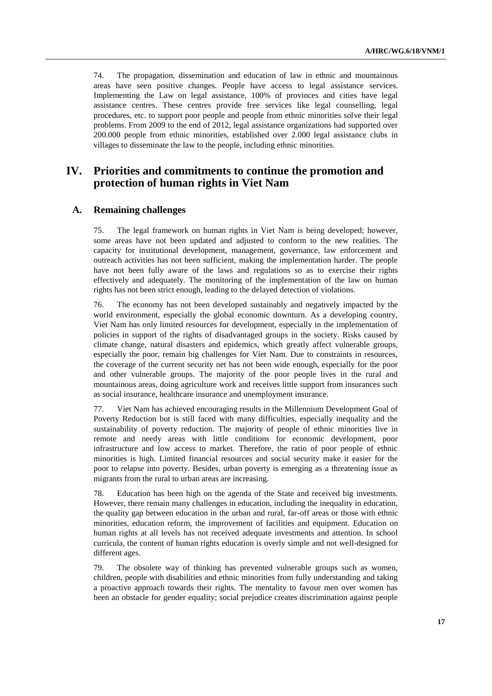74. The propagation, dissemination and education of law in ethnic and mountainous areas have seen positive changes. People have access to legal assistance services. Implementing the Law on legal assistance, 100% of provinces and cities have legal assistance centres. These centres provide free services like legal counselling, legal procedures, etc. to support poor people and people from ethnic minorities solve their legal problems. From 2009 to the end of 2012, legal assistance organizations had supported over 200.000 people from ethnic minorities, established over 2.000 legal assistance clubs in villages to disseminate the law to the people, including ethnic minorities.

## **IV. Priorities and commitments to continue the promotion and protection of human rights in Viet Nam**

## **A. Remaining challenges**

75. The legal framework on human rights in Viet Nam is being developed; however, some areas have not been updated and adjusted to conform to the new realities. The capacity for institutional development, management, governance, law enforcement and outreach activities has not been sufficient, making the implementation harder. The people have not been fully aware of the laws and regulations so as to exercise their rights effectively and adequately. The monitoring of the implementation of the law on human rights has not been strict enough, leading to the delayed detection of violations.

76. The economy has not been developed sustainably and negatively impacted by the world environment, especially the global economic downturn. As a developing country, Viet Nam has only limited resources for development, especially in the implementation of policies in support of the rights of disadvantaged groups in the society. Risks caused by climate change, natural disasters and epidemics, which greatly affect vulnerable groups, especially the poor, remain big challenges for Viet Nam. Due to constraints in resources, the coverage of the current security net has not been wide enough, especially for the poor and other vulnerable groups. The majority of the poor people lives in the rural and mountainous areas, doing agriculture work and receives little support from insurances such as social insurance, healthcare insurance and unemployment insurance.

77. Viet Nam has achieved encouraging results in the Millennium Development Goal of Poverty Reduction but is still faced with many difficulties, especially inequality and the sustainability of poverty reduction. The majority of people of ethnic minorities live in remote and needy areas with little conditions for economic development, poor infrastructure and low access to market. Therefore, the ratio of poor people of ethnic minorities is high. Limited financial resources and social security make it easier for the poor to relapse into poverty. Besides, urban poverty is emerging as a threatening issue as migrants from the rural to urban areas are increasing.

78. Education has been high on the agenda of the State and received big investments. However, there remain many challenges in education, including the inequality in education, the quality gap between education in the urban and rural, far-off areas or those with ethnic minorities, education reform, the improvement of facilities and equipment. Education on human rights at all levels has not received adequate investments and attention. In school curricula, the content of human rights education is overly simple and not well-designed for different ages.

79. The obsolete way of thinking has prevented vulnerable groups such as women, children, people with disabilities and ethnic minorities from fully understanding and taking a proactive approach towards their rights. The mentality to favour men over women has been an obstacle for gender equality; social prejudice creates discrimination against people